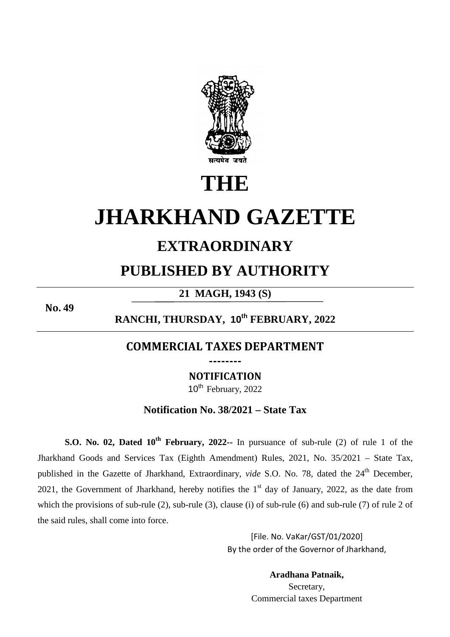

# **THE**

## **JHARKHAND GAZETTE**

## **EXTRAORDINARY**

### **PUBLISHED BY AUTHORITY**

**21 MAGH, 1943 (S)** 

**No. 49**

**RANCHI, THURSDAY, 10th FEBRUARY, 2022** 

#### **COMMERCIAL TAXES DEPARTMENT --------**

**NOTIFICATION** 

10<sup>th</sup> February, 2022

**Notification No. 38/2021 – State Tax**

**S.O. No. 02, Dated 10th February, 2022--** In pursuance of sub-rule (2) of rule 1 of the Jharkhand Goods and Services Tax (Eighth Amendment) Rules, 2021, No. 35/2021 – State Tax, published in the Gazette of Jharkhand, Extraordinary, *vide* S.O. No. 78, dated the 24<sup>th</sup> December, 2021, the Government of Jharkhand, hereby notifies the  $1<sup>st</sup>$  day of January, 2022, as the date from which the provisions of sub-rule (2), sub-rule (3), clause (i) of sub-rule (6) and sub-rule (7) of rule 2 of the said rules, shall come into force.

> [File. No. VaKar/GST/01/2020] By the order of the Governor of Jharkhand,

> > **Aradhana Patnaik,** Secretary, Commercial taxes Department